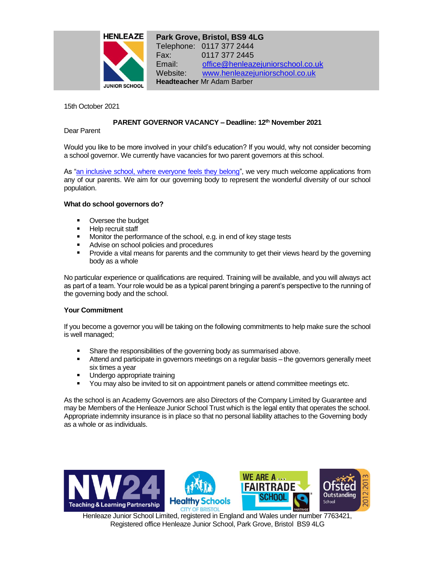

**Park Grove, Bristol, BS9 4LG** Telephone: 0117 377 2444 Fax: 0117 377 2445 Email: [office@henleazejuniorschool.co.uk](mailto:office@henleazejuniorschool.co.uk) Website: [www.henleazejuniorschool.co.uk](http://www.henleazejuniorschool.co.uk/) **Headteacher** Mr Adam Barber

15th October 2021

# **PARENT GOVERNOR VACANCY – Deadline: 12th November 2021**

Dear Parent

Would you like to be more involved in your child's education? If you would, why not consider becoming a school governor. We currently have vacancies for two parent governors at this school.

As ["an inclusive school, where everyone feels they belong"](https://www.henleazejuniorschool.co.uk/about/values), we very much welcome applications from any of our parents. We aim for our governing body to represent the wonderful diversity of our school population.

## **What do school governors do?**

- Oversee the budget
- Help recruit staff
- **Monitor the performance of the school, e.g. in end of key stage tests**
- Advise on school policies and procedures
- a co Provide a vital means for parents and the community to get their views heard by the governing body as a whole

No particular experience or qualifications are required. Training will be available, and you will always act as part of a team. Your role would be as a typical parent bringing a parent's perspective to the running of the governing body and the school.

## **Your Commitment**

If you become a governor you will be taking on the following commitments to help make sure the school is well managed;

- $\blacksquare$ Share the responsibilities of the governing body as summarised above.
- Attend and participate in governors meetings on a regular basis –the governors generally meet six times a year
- $\blacksquare$ Undergo appropriate training
- **You may also be invited to sit on appointment panels or attend committee meetings etc.**

As the school is an Academy Governors are also Directors of the Company Limited by Guarantee and may be Members of the Henleaze Junior School Trust which is the legal entity that operates the school. Appropriate indemnity insurance is in place so that no personal liability attaches to the Governing body as a whole or as individuals.







Henleaze Junior School Limited, registered in England and Wales under number 7763421, Registered office Henleaze Junior School, Park Grove, Bristol BS9 4LG